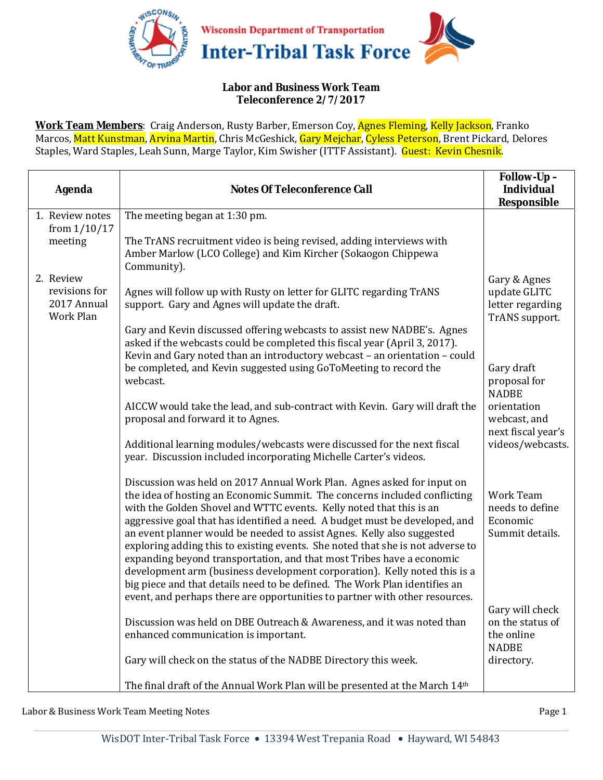

## **Labor and Business Work Team Teleconference 2/7/2017**

**Work Team Members**: Craig Anderson, Rusty Barber, Emerson Coy, Agnes Fleming, Kelly Jackson, Franko Marcos, Matt Kunstman, Arvina Martin, Chris McGeshick, Gary Mejchar, Cyless Peterson, Brent Pickard, Delores Staples, Ward Staples, Leah Sunn, Marge Taylor, Kim Swisher (ITTF Assistant). Guest: Kevin Chesnik.

| <b>Agenda</b>                             | <b>Notes Of Teleconference Call</b>                                                                                                                                                                                                                                                                                                                                                                                                                                                                                                                                                                                                                                                                                                                                                      | Follow-Up-<br><b>Individual</b><br>Responsible                    |
|-------------------------------------------|------------------------------------------------------------------------------------------------------------------------------------------------------------------------------------------------------------------------------------------------------------------------------------------------------------------------------------------------------------------------------------------------------------------------------------------------------------------------------------------------------------------------------------------------------------------------------------------------------------------------------------------------------------------------------------------------------------------------------------------------------------------------------------------|-------------------------------------------------------------------|
| 1. Review notes                           | The meeting began at 1:30 pm.                                                                                                                                                                                                                                                                                                                                                                                                                                                                                                                                                                                                                                                                                                                                                            |                                                                   |
| from $1/10/17$<br>meeting                 | The TrANS recruitment video is being revised, adding interviews with<br>Amber Marlow (LCO College) and Kim Kircher (Sokaogon Chippewa<br>Community).                                                                                                                                                                                                                                                                                                                                                                                                                                                                                                                                                                                                                                     |                                                                   |
| 2. Review                                 |                                                                                                                                                                                                                                                                                                                                                                                                                                                                                                                                                                                                                                                                                                                                                                                          | Gary & Agnes                                                      |
| revisions for<br>2017 Annual<br>Work Plan | Agnes will follow up with Rusty on letter for GLITC regarding TrANS<br>support. Gary and Agnes will update the draft.                                                                                                                                                                                                                                                                                                                                                                                                                                                                                                                                                                                                                                                                    | update GLITC<br>letter regarding<br>TrANS support.                |
|                                           | Gary and Kevin discussed offering webcasts to assist new NADBE's. Agnes<br>asked if the webcasts could be completed this fiscal year (April 3, 2017).<br>Kevin and Gary noted than an introductory webcast - an orientation - could                                                                                                                                                                                                                                                                                                                                                                                                                                                                                                                                                      |                                                                   |
|                                           | be completed, and Kevin suggested using GoToMeeting to record the<br>webcast.                                                                                                                                                                                                                                                                                                                                                                                                                                                                                                                                                                                                                                                                                                            | Gary draft<br>proposal for<br><b>NADBE</b>                        |
|                                           | AICCW would take the lead, and sub-contract with Kevin. Gary will draft the<br>proposal and forward it to Agnes.                                                                                                                                                                                                                                                                                                                                                                                                                                                                                                                                                                                                                                                                         | orientation<br>webcast, and<br>next fiscal year's                 |
|                                           | Additional learning modules/webcasts were discussed for the next fiscal<br>year. Discussion included incorporating Michelle Carter's videos.                                                                                                                                                                                                                                                                                                                                                                                                                                                                                                                                                                                                                                             | videos/webcasts.                                                  |
|                                           | Discussion was held on 2017 Annual Work Plan. Agnes asked for input on<br>the idea of hosting an Economic Summit. The concerns included conflicting<br>with the Golden Shovel and WTTC events. Kelly noted that this is an<br>aggressive goal that has identified a need. A budget must be developed, and<br>an event planner would be needed to assist Agnes. Kelly also suggested<br>exploring adding this to existing events. She noted that she is not adverse to<br>expanding beyond transportation, and that most Tribes have a economic<br>development arm (business development corporation). Kelly noted this is a<br>big piece and that details need to be defined. The Work Plan identifies an<br>event, and perhaps there are opportunities to partner with other resources. | Work Team<br>needs to define<br>Economic<br>Summit details.       |
|                                           | Discussion was held on DBE Outreach & Awareness, and it was noted than<br>enhanced communication is important.                                                                                                                                                                                                                                                                                                                                                                                                                                                                                                                                                                                                                                                                           | Gary will check<br>on the status of<br>the online<br><b>NADBE</b> |
|                                           | Gary will check on the status of the NADBE Directory this week.                                                                                                                                                                                                                                                                                                                                                                                                                                                                                                                                                                                                                                                                                                                          | directory.                                                        |
|                                           | The final draft of the Annual Work Plan will be presented at the March 14th                                                                                                                                                                                                                                                                                                                                                                                                                                                                                                                                                                                                                                                                                                              |                                                                   |

Labor & Business Work Team Meeting Notes Page 1